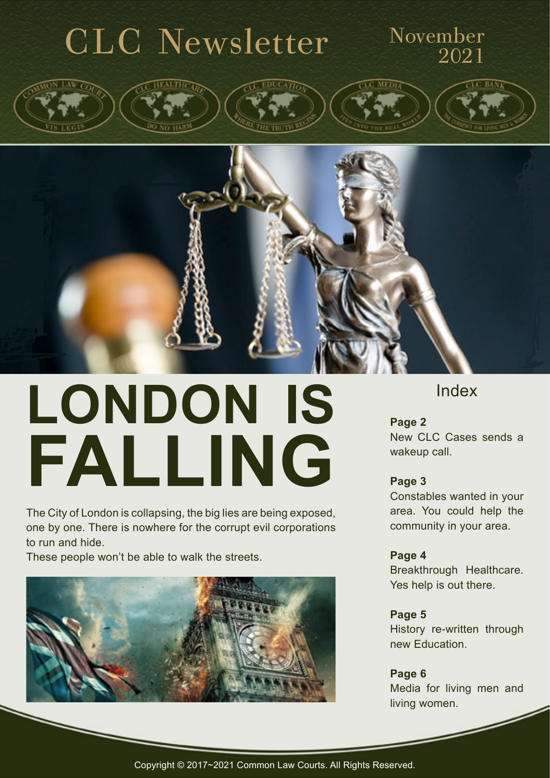

# **LONDON IS FALLING**

The City of London is collapsing, the big lies are being exposed, one by one. There is nowhere for the corrupt evil corporations to run and hide.

These people won't be able to walk the streets.



#### Index

**Page 2** New CLC Cases sends a wakeup call.

#### **Page 3**

Constables wanted in your area. You could help the community in your area.

#### **Page 4**

Breakthrough Healthcare. Yes help is out there.

**Page 5** History re-written through new Education.

**Page 6** Media for living men and living women.

Copyright © 2017~2021 Common Law Courts. All Rights Reserved.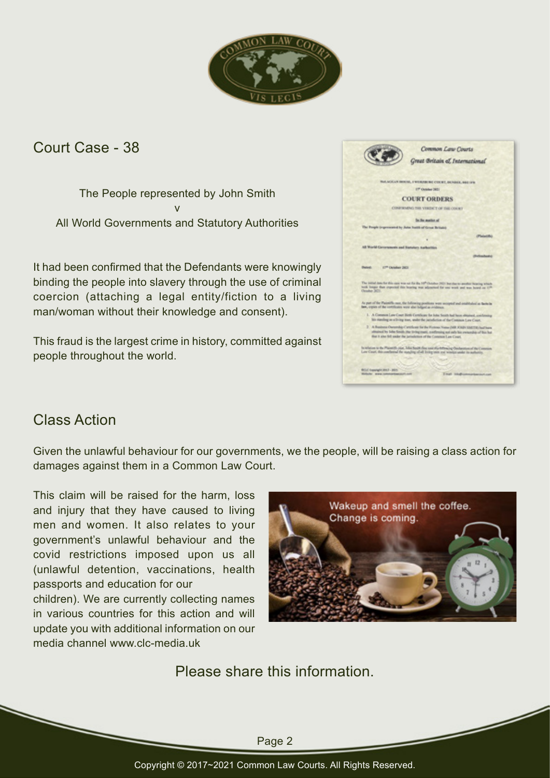

Court Case - 38

The People represented by John Smith v All World Governments and Statutory Authorities

It had been confirmed that the Defendants were knowingly binding the people into slavery through the use of criminal coercion (attaching a legal entity/fiction to a living man/woman without their knowledge and consent).

This fraud is the largest crime in history, committed against people throughout the world.

|                                                                | Common Law Courts<br>Great Britain of International                                                                                                                                                                                                |
|----------------------------------------------------------------|----------------------------------------------------------------------------------------------------------------------------------------------------------------------------------------------------------------------------------------------------|
|                                                                |                                                                                                                                                                                                                                                    |
|                                                                | RALAGICAN DESERE, I'WENVEN INC COUNT, DENINEE, BEETING                                                                                                                                                                                             |
|                                                                | IT Outsides (RD)                                                                                                                                                                                                                                   |
|                                                                | <b>COURT ORDERS</b>                                                                                                                                                                                                                                |
|                                                                | CONFIRMEND THE VERDICT OF THE COURT.                                                                                                                                                                                                               |
|                                                                | To the matter of                                                                                                                                                                                                                                   |
| The Progris (expressword by John Tradit of Group Britain)      |                                                                                                                                                                                                                                                    |
|                                                                | (Flatentific)                                                                                                                                                                                                                                      |
| All World Concretences and Banzlery Authorities                |                                                                                                                                                                                                                                                    |
|                                                                | (Enforcement)                                                                                                                                                                                                                                      |
| Detroit 1777 October 2803<br>Orasher 3671.                     | The initial date for this case was not for the 10th October 2421 but due to another bearing which<br>both longer than exported this bearing was adjourned for one work and non-hourd on 17th                                                       |
| law, expire of the certificates were also tolland as evidence. | As part of the Paintiffs case, the following positions were worspeld and entabledosi as facto in                                                                                                                                                   |
|                                                                | 1. A Common Law Court Birth Certificate for John Seath had been obtained, confirming<br>his massleg on a living man, under the jurisdiction of the Contains Law Court.                                                                             |
|                                                                | 7 A Business Ownership Carefores for the Ferious Natus (MR SURVAINTE) builtures<br>attrained by John Smith (the living must), confirming not only be revised by of five but<br>that it also fell ander the jurisdenien of the Constrain Law Court. |
|                                                                | In where is the Planetth Joel, John South One cost (Au-following Ouchannians of the Consense.<br>Low Court, this conflerend the standing of all living other and wineter-under in authority.                                                       |
| ROLE Squaraght 2012 - 2025                                     |                                                                                                                                                                                                                                                    |
| <b>Birtholic www.commontinecort.com</b>                        | Engl International car                                                                                                                                                                                                                             |

#### Class Action

Given the unlawful behaviour for our governments, we the people, will be raising a class action for damages against them in a Common Law Court.

This claim will be raised for the harm, loss and injury that they have caused to living men and women. It also relates to your government's unlawful behaviour and the covid restrictions imposed upon us all (unlawful detention, vaccinations, health passports and education for our

children). We are currently collecting names in various countries for this action and will update you with additional information on our media channel www.clc-media.uk



Please share this information.

Page 2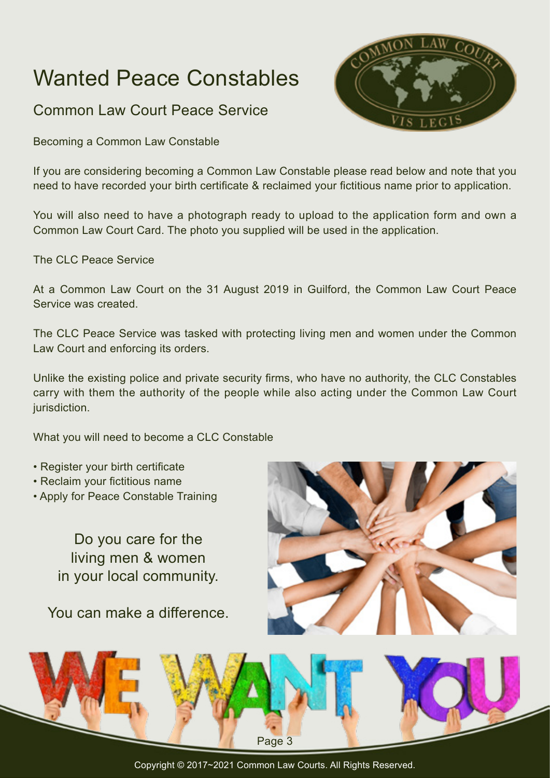## Wanted Peace Constables

Common Law Court Peace Service

Becoming a Common Law Constable

If you are considering becoming a Common Law Constable please read below and note that you need to have recorded your birth certificate & reclaimed your fictitious name prior to application.

You will also need to have a photograph ready to upload to the application form and own a Common Law Court Card. The photo you supplied will be used in the application.

The CLC Peace Service

At a Common Law Court on the 31 August 2019 in Guilford, the Common Law Court Peace Service was created.

The CLC Peace Service was tasked with protecting living men and women under the Common Law Court and enforcing its orders.

Unlike the existing police and private security firms, who have no authority, the CLC Constables carry with them the authority of the people while also acting under the Common Law Court jurisdiction.

What you will need to become a CLC Constable

- Register your birth certificate
- Reclaim your fictitious name
- Apply for Peace Constable Training

Do you care for the living men & women in your local community.

You can make a difference.





Copyright © 2017~2021 Common Law Courts. All Rights Reserved.

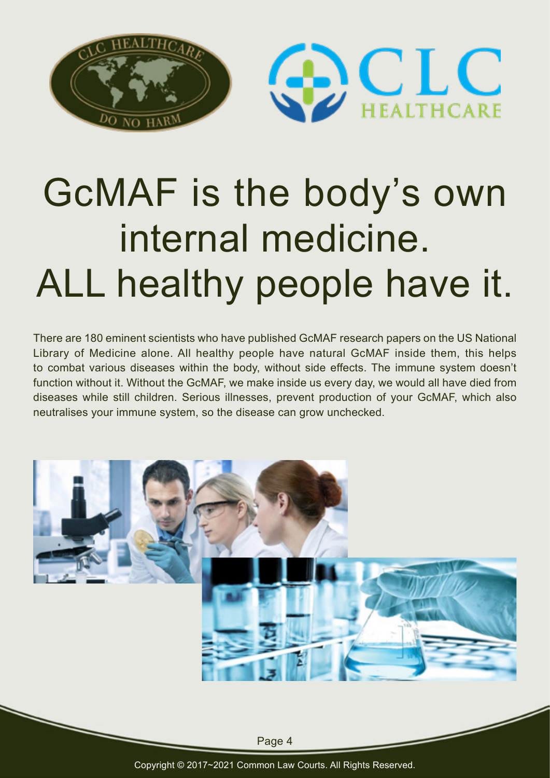

## GcMAF is the body's own internal medicine. ALL healthy people have it.

There are 180 eminent scientists who have published GcMAF research papers on the US National Library of Medicine alone. All healthy people have natural GcMAF inside them, this helps to combat various diseases within the body, without side effects. The immune system doesn't function without it. Without the GcMAF, we make inside us every day, we would all have died from diseases while still children. Serious illnesses, prevent production of your GcMAF, which also neutralises your immune system, so the disease can grow unchecked.



Page 4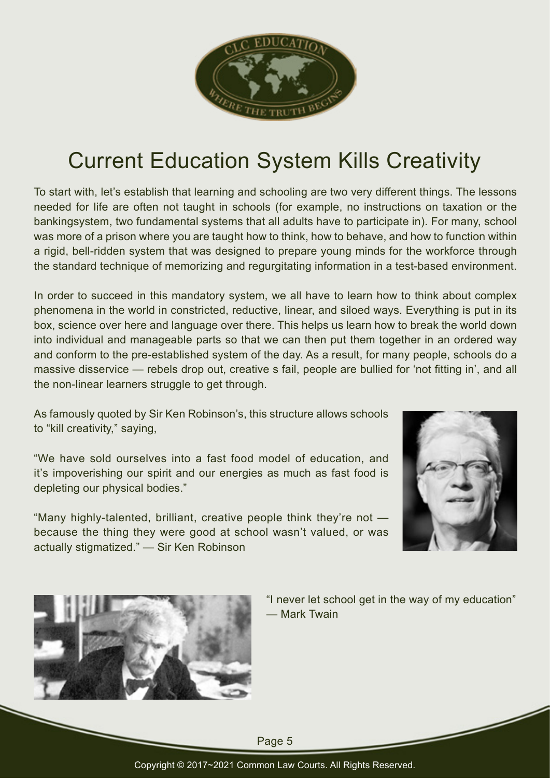

## Current Education System Kills Creativity

To start with, let's establish that learning and schooling are two very different things. The lessons needed for life are often not taught in schools (for example, no instructions on taxation or the bankingsystem, two fundamental systems that all adults have to participate in). For many, school was more of a prison where you are taught how to think, how to behave, and how to function within a rigid, bell-ridden system that was designed to prepare young minds for the workforce through the standard technique of memorizing and regurgitating information in a test-based environment.

In order to succeed in this mandatory system, we all have to learn how to think about complex phenomena in the world in constricted, reductive, linear, and siloed ways. Everything is put in its box, science over here and language over there. This helps us learn how to break the world down into individual and manageable parts so that we can then put them together in an ordered way and conform to the pre-established system of the day. As a result, for many people, schools do a massive disservice — rebels drop out, creative s fail, people are bullied for 'not fitting in', and all the non-linear learners struggle to get through.

As famously quoted by Sir Ken Robinson's, this structure allows schools to "kill creativity," saying,

"We have sold ourselves into a fast food model of education, and it's impoverishing our spirit and our energies as much as fast food is depleting our physical bodies."

"Many highly-talented, brilliant, creative people think they're not because the thing they were good at school wasn't valued, or was actually stigmatized." — Sir Ken Robinson





"I never let school get in the way of my education" — Mark Twain

Page 5